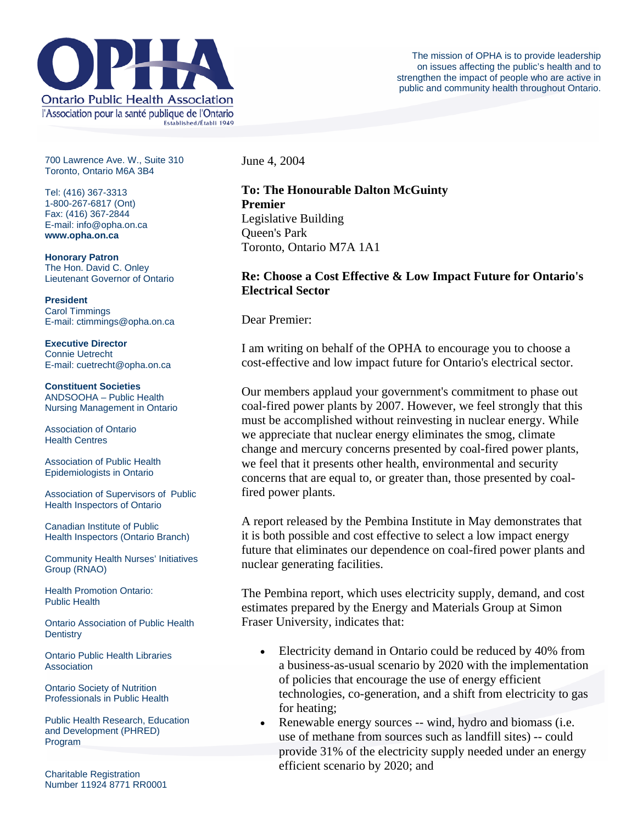

700 Lawrence Ave. W., Suite 310 Toronto, Ontario M6A 3B4

Tel: (416) 367-3313 1-800-267-6817 (Ont) Fax: (416) 367-2844 E-mail: info@opha.on.ca **www.opha.on.ca** 

**Honorary Patron**  The Hon. David C. Onley Lieutenant Governor of Ontario

**President**  Carol Timmings E-mail: ctimmings@opha.on.ca

**Executive Director**  Connie Uetrecht E-mail: cuetrecht@opha.on.ca

**Constituent Societies**  ANDSOOHA – Public Health Nursing Management in Ontario

Association of Ontario Health Centres

Association of Public Health Epidemiologists in Ontario

Association of Supervisors of Public Health Inspectors of Ontario

Canadian Institute of Public Health Inspectors (Ontario Branch)

Community Health Nurses' Initiatives Group (RNAO)

Health Promotion Ontario: Public Health

Ontario Association of Public Health **Dentistry** 

Ontario Public Health Libraries **Association** 

Ontario Society of Nutrition Professionals in Public Health

Public Health Research, Education and Development (PHRED) Program

Charitable Registration Number 11924 8771 RR0001 June 4, 2004

## **To: The Honourable Dalton McGuinty Premier**  Legislative Building Queen's Park Toronto, Ontario M7A 1A1

## **Re: Choose a Cost Effective & Low Impact Future for Ontario's Electrical Sector**

Dear Premier:

I am writing on behalf of the OPHA to encourage you to choose a cost-effective and low impact future for Ontario's electrical sector.

Our members applaud your government's commitment to phase out coal-fired power plants by 2007. However, we feel strongly that this must be accomplished without reinvesting in nuclear energy. While we appreciate that nuclear energy eliminates the smog, climate change and mercury concerns presented by coal-fired power plants, we feel that it presents other health, environmental and security concerns that are equal to, or greater than, those presented by coalfired power plants.

A report released by the Pembina Institute in May demonstrates that it is both possible and cost effective to select a low impact energy future that eliminates our dependence on coal-fired power plants and nuclear generating facilities.

The Pembina report, which uses electricity supply, demand, and cost estimates prepared by the Energy and Materials Group at Simon Fraser University, indicates that:

- Electricity demand in Ontario could be reduced by 40% from a business-as-usual scenario by 2020 with the implementation of policies that encourage the use of energy efficient technologies, co-generation, and a shift from electricity to gas for heating;
- Renewable energy sources -- wind, hydro and biomass (i.e. use of methane from sources such as landfill sites) -- could provide 31% of the electricity supply needed under an energy efficient scenario by 2020; and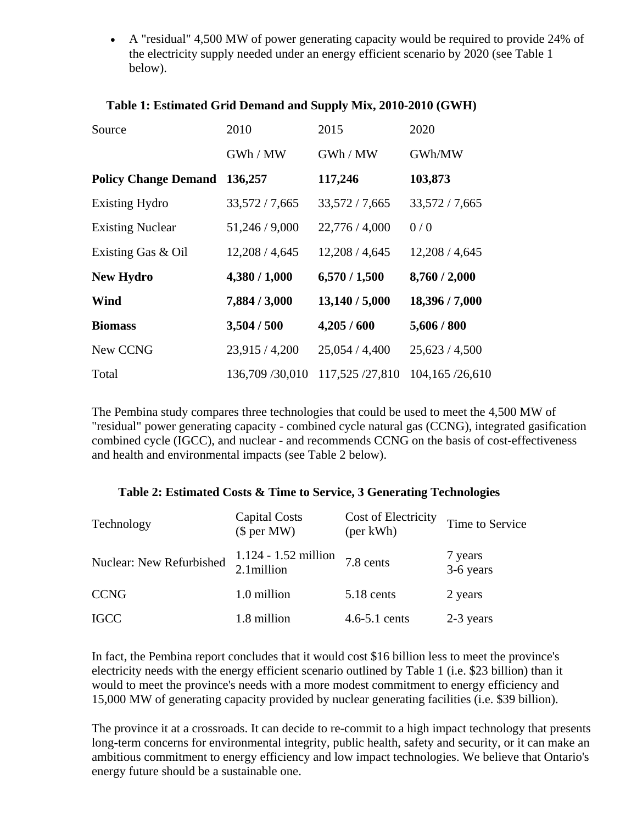• A "residual" 4,500 MW of power generating capacity would be required to provide 24% of the electricity supply needed under an energy efficient scenario by 2020 (see Table 1 below).

| Source                      | 2010           | 2015           | 2020           |
|-----------------------------|----------------|----------------|----------------|
|                             | GWh / MW       | GWh / MW       | GWh/MW         |
| <b>Policy Change Demand</b> | 136,257        | 117,246        | 103,873        |
| <b>Existing Hydro</b>       | 33,572/7,665   | 33,572 / 7,665 | 33,572 / 7,665 |
| <b>Existing Nuclear</b>     | 51,246 / 9,000 | 22,776 / 4,000 | 0/0            |
| Existing Gas & Oil          | 12,208/4,645   | 12,208/4,645   | 12,208/4,645   |
| <b>New Hydro</b>            | 4,380 / 1,000  | 6,570/1,500    | 8,760 / 2,000  |
| Wind                        | 7,884 / 3,000  | 13,140 / 5,000 | 18,396 / 7,000 |
| <b>Biomass</b>              | 3,504 / 500    | 4,205/600      | 5,606 / 800    |
| New CCNG                    | 23,915 / 4,200 | 25,054/4,400   | 25,623/4,500   |
| Total                       | 136,709/30,010 | 117,525/27,810 | 104,165/26,610 |

## **Table 1: Estimated Grid Demand and Supply Mix, 2010-2010 (GWH)**

The Pembina study compares three technologies that could be used to meet the 4,500 MW of "residual" power generating capacity - combined cycle natural gas (CCNG), integrated gasification combined cycle (IGCC), and nuclear - and recommends CCNG on the basis of cost-effectiveness and health and environmental impacts (see Table 2 below).

## **Table 2: Estimated Costs & Time to Service, 3 Generating Technologies**

| Technology               | <b>Capital Costs</b><br>$$$ per MW)   | Cost of Electricity<br>(per kWh) | Time to Service      |
|--------------------------|---------------------------------------|----------------------------------|----------------------|
| Nuclear: New Refurbished | $1.124 - 1.52$ million<br>2.1 million | 7.8 cents                        | 7 years<br>3-6 years |
| <b>CCNG</b>              | 1.0 million                           | 5.18 cents                       | 2 years              |
| <b>IGCC</b>              | 1.8 million                           | $4.6 - 5.1$ cents                | 2-3 years            |

In fact, the Pembina report concludes that it would cost \$16 billion less to meet the province's electricity needs with the energy efficient scenario outlined by Table 1 (i.e. \$23 billion) than it would to meet the province's needs with a more modest commitment to energy efficiency and 15,000 MW of generating capacity provided by nuclear generating facilities (i.e. \$39 billion).

The province it at a crossroads. It can decide to re-commit to a high impact technology that presents long-term concerns for environmental integrity, public health, safety and security, or it can make an ambitious commitment to energy efficiency and low impact technologies. We believe that Ontario's energy future should be a sustainable one.